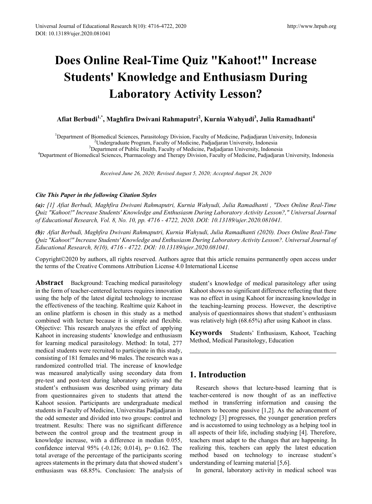# **Does Online Real-Time Quiz "Kahoot!" Increase Students' Knowledge and Enthusiasm During Laboratory Activity Lesson?**

## **Afiat Berbudi1,\* , Maghfira Dwivani Rahmaputri<sup>2</sup> , Kurnia Wahyudi3 , Julia Ramadhanti4**

<sup>1</sup>Department of Biomedical Sciences, Parasitology Division, Faculty of Medicine, Padjadjaran University, Indonesia<br><sup>2</sup>Undergraduate Program, Faculty of Medicine, Padjadjaran University, Indonesia

Undergraduate Program, Faculty of Medicine, Padjadjaran University, Indonesia<sup>3</sup><br><sup>3</sup>Department of Public Health, Faculty of Medicine, Padjadjaran University, Indones

Department of Public Health, Faculty of Medicine, Padjadjaran University, Indonesia<sup>4</sup><br>Penartment of Biomedical Sciences, Pharmacology and Therany Division, Eaculty of Medicine, Padjadjara Department of Biomedical Sciences, Pharmacology and Therapy Division, Faculty of Medicine, Padjadjaran University, Indonesia

*Received June 26, 2020; Revised August 5, 2020; Accepted August 28, 2020*

#### *Cite This Paper in the following Citation Styles*

*(a): [1] Afiat Berbudi, Maghfira Dwivani Rahmaputri, Kurnia Wahyudi, Julia Ramadhanti , "Does Online Real-Time Quiz "Kahoot!" Increase Students' Knowledge and Enthusiasm During Laboratory Activity Lesson?," Universal Journal of Educational Research, Vol. 8, No. 10, pp. 4716 - 4722, 2020. DOI: 10.13189/ujer.2020.081041.* 

*(b): Afiat Berbudi, Maghfira Dwivani Rahmaputri, Kurnia Wahyudi, Julia Ramadhanti (2020). Does Online Real-Time Quiz "Kahoot!" Increase Students' Knowledge and Enthusiasm During Laboratory Activity Lesson?. Universal Journal of Educational Research, 8(10), 4716 - 4722. DOI: 10.13189/ujer.2020.081041.* 

Copyright©2020 by authors, all rights reserved. Authors agree that this article remains permanently open access under the terms of the Creative Commons Attribution License 4.0 International License

**Abstract** Background: Teaching medical parasitology in the form of teacher-centered lectures requires innovation using the help of the latest digital technology to increase the effectiveness of the teaching. Realtime quiz Kahoot in an online platform is chosen in this study as a method combined with lecture because it is simple and flexible. Objective: This research analyzes the effect of applying Kahoot in increasing students' knowledge and enthusiasm for learning medical parasitology. Method: In total, 277 medical students were recruited to participate in this study, consisting of 181 females and 96 males. The research was a randomized controlled trial. The increase of knowledge was measured analytically using secondary data from pre-test and post-test during laboratory activity and the student's enthusiasm was described using primary data from questionnaires given to students that attend the Kahoot session. Participants are undergraduate medical students in Faculty of Medicine, Universitas Padjadjaran in the odd semester and divided into two groups: control and treatment. Results: There was no significant difference between the control group and the treatment group in knowledge increase, with a difference in median 0.055, confidence interval 95% (-0.126; 0.014), p= 0.162. The total average of the percentage of the participants scoring agrees statements in the primary data that showed student's enthusiasm was 68.85%. Conclusion: The analysis of

student's knowledge of medical parasitology after using Kahoot shows no significant difference reflecting that there was no effect in using Kahoot for increasing knowledge in the teaching-learning process. However, the descriptive analysis of questionnaires shows that student's enthusiasm was relatively high (68.65%) after using Kahoot in class.

**Keywords** Students' Enthusiasm, Kahoot, Teaching Method, Medical Parasitology, Education

## **1. Introduction**

Research shows that lecture-based learning that is teacher-centered is now thought of as an ineffective method in transferring information and causing the listeners to become passive [1,2]. As the advancement of technology [3] progresses, the younger generation prefers and is accustomed to using technology as a helping tool in all aspects of their life, including studying [4]. Therefore, teachers must adapt to the changes that are happening. In realizing this, teachers can apply the latest education method based on technology to increase student's understanding of learning material [5,6].

In general, laboratory activity in medical school was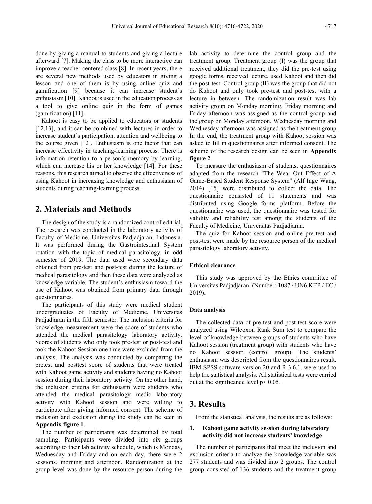done by giving a manual to students and giving a lecture afterward [7]. Making the class to be more interactive can improve a teacher-centered class [8]. In recent years, there are several new methods used by educators in giving a lesson and one of them is by using online quiz and gamification [9] because it can increase student's enthusiasm [10]. Kahoot is used in the education process as a tool to give online quiz in the form of games (gamification) [11].

Kahoot is easy to be applied to educators or students [12,13], and it can be combined with lectures in order to increase student's participation, attention and wellbeing to the course given [12]. Enthusiasm is one factor that can increase effectivity in teaching-learning process. There is information retention to a person's memory by learning, which can increase his or her knowledge [14]. For these reasons, this research aimed to observe the effectiveness of using Kahoot in increasing knowledge and enthusiasm of students during teaching-learning process.

## **2. Materials and Methods**

The design of the study is a randomized controlled trial. The research was conducted in the laboratory activity of Faculty of Medicine, Universitas Padjadjaran, Indonesia. It was performed during the Gastrointestinal System rotation with the topic of medical parasitology, in odd semester of 2019. The data used were secondary data obtained from pre-test and post-test during the lecture of medical parasitology and then these data were analyzed as knowledge variable. The student's enthusiasm toward the use of Kahoot was obtained from primary data through questionnaires.

The participants of this study were medical student undergraduates of Faculty of Medicine, Universitas Padjadjaran in the fifth semester. The inclusion criteria for knowledge measurement were the score of students who attended the medical parasitology laboratory activity. Scores of students who only took pre-test or post-test and took the Kahoot Session one time were excluded from the analysis. The analysis was conducted by comparing the pretest and posttest score of students that were treated with Kahoot game activity and students having no Kahoot session during their laboratory activity. On the other hand, the inclusion criteria for enthusiasm were students who attended the medical parasitology medic laboratory activity with Kahoot session and were willing to participate after giving informed consent. The scheme of inclusion and exclusion during the study can be seen in **Appendix figure 1**.

The number of participants was determined by total sampling. Participants were divided into six groups according to their lab activity schedule, which is Monday, Wednesday and Friday and on each day, there were 2 sessions, morning and afternoon. Randomization at the group level was done by the resource person during the

lab activity to determine the control group and the treatment group. Treatment group (I) was the group that received additional treatment, they did the pre-test using google forms, received lecture, used Kahoot and then did the post-test. Control group (II) was the group that did not do Kahoot and only took pre-test and post-test with a lecture in between. The randomization result was lab activity group on Monday morning, Friday morning and Friday afternoon was assigned as the control group and the group on Monday afternoon, Wednesday morning and Wednesday afternoon was assigned as the treatment group. In the end, the treatment group with Kahoot session was asked to fill in questionnaires after informed consent. The scheme of the research design can be seen in **Appendix figure 2**.

To measure the enthusiasm of students, questionnaires adapted from the research "The Wear Out Effect of A Game-Based Student Response System" (Alf Inge Wang, 2014) [15] were distributed to collect the data. The questionnaire consisted of 11 statements and was distributed using Google forms platform. Before the questionnaire was used, the questionnaire was tested for validity and reliability test among the students of the Faculty of Medicine, Universitas Padjadjaran.

The quiz for Kahoot session and online pre-test and post-test were made by the resource person of the medical parasitology laboratory activity.

#### **Ethical clearance**

This study was approved by the Ethics committee of Universitas Padjadjaran. (Number: 1087 / UN6.KEP / EC / 2019).

#### **Data analysis**

The collected data of pre-test and post-test score were analyzed using Wilcoxon Rank Sum test to compare the level of knowledge between groups of students who have Kahoot session (treatment group) with students who have no Kahoot session (control group). The students' enthusiasm was descripted from the questionnaires result. IBM SPSS software version 20 and R 3.6.1. were used to help the statistical analysis. All statistical tests were carried out at the significance level p< 0.05.

## **3. Results**

From the statistical analysis, the results are as follows:

#### **1. Kahoot game activity session during laboratory activity did not increase students' knowledge**

The number of participants that meet the inclusion and exclusion criteria to analyze the knowledge variable was 277 students and was divided into 2 groups. The control group consisted of 136 students and the treatment group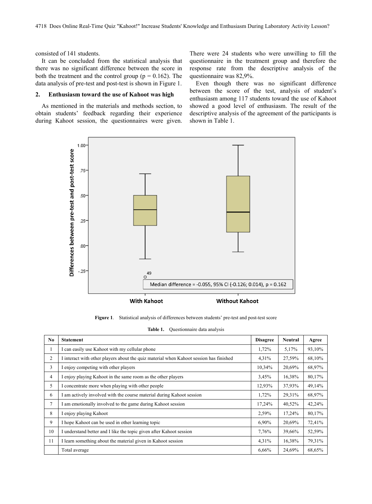consisted of 141 students.

It can be concluded from the statistical analysis that there was no significant difference between the score in both the treatment and the control group ( $p = 0.162$ ). The data analysis of pre-test and post-test is shown in Figure 1.

#### **2. Enthusiasm toward the use of Kahoot was high**

As mentioned in the materials and methods section, to obtain students' feedback regarding their experience during Kahoot session, the questionnaires were given.

There were 24 students who were unwilling to fill the questionnaire in the treatment group and therefore the response rate from the descriptive analysis of the questionnaire was 82,9%.

Even though there was no significant difference between the score of the test, analysis of student's enthusiasm among 117 students toward the use of Kahoot showed a good level of enthusiasm. The result of the descriptive analysis of the agreement of the participants is shown in Table 1.



**Figure 1**. Statistical analysis of differences between students' pre-test and post-test score

| Table 1. | Questionnaire data analysis |  |  |
|----------|-----------------------------|--|--|
|          |                             |  |  |
|          |                             |  |  |

| No             | <b>Statement</b>                                                                       | <b>Disagree</b> | <b>Neutral</b> | Agree  |
|----------------|----------------------------------------------------------------------------------------|-----------------|----------------|--------|
| 1              | I can easily use Kahoot with my cellular phone                                         |                 | 5,17%          | 93,10% |
| $\overline{2}$ | I interact with other players about the quiz material when Kahoot session has finished | 4,31%           | 27,59%         | 68,10% |
| 3              | I enjoy competing with other players                                                   | 10,34%          | 20,69%         | 68,97% |
| 4              | I enjoy playing Kahoot in the same room as the other players                           | 3,45%           | 16,38%         | 80,17% |
| 5              | I concentrate more when playing with other people                                      | 12,93%          | 37,93%         | 49,14% |
| 6              | I am actively involved with the course material during Kahoot session                  | 1,72%           | 29,31%         | 68,97% |
| $\overline{7}$ | I am emotionally involved to the game during Kahoot session                            | 17,24%          | 40,52%         | 42,24% |
| 8              | I enjoy playing Kahoot                                                                 | 2,59%           | 17,24%         | 80,17% |
| 9              | I hope Kahoot can be used in other learning topic                                      | 6,90%           | 20,69%         | 72,41% |
| 10             | I understand better and I like the topic given after Kahoot session                    | 7.76%           | 39,66%         | 52,59% |
| 11             | I learn something about the material given in Kahoot session                           | 4,31%           | 16,38%         | 79,31% |
|                | Total average                                                                          | 6,66%           | 24,69%         | 68,65% |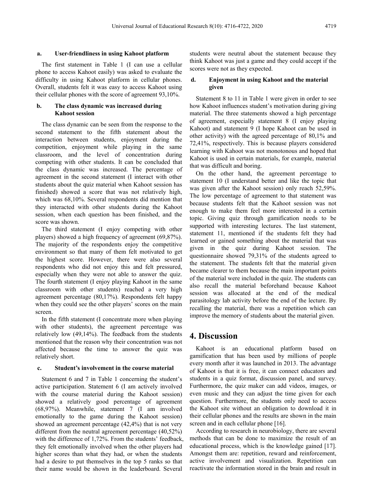#### **a. User-friendliness in using Kahoot platform**

The first statement in Table 1 (I can use a cellular phone to access Kahoot easily) was asked to evaluate the difficulty in using Kahoot platform in cellular phones. Overall, students felt it was easy to access Kahoot using their cellular phones with the score of agreement 93,10%.

#### **b. The class dynamic was increased during Kahoot session**

The class dynamic can be seen from the response to the second statement to the fifth statement about the interaction between students, enjoyment during the competition, enjoyment while playing in the same classroom, and the level of concentration during competing with other students. It can be concluded that the class dynamic was increased. The percentage of agreement in the second statement (I interact with other students about the quiz material when Kahoot session has finished) showed a score that was not relatively high, which was 68,10%. Several respondents did mention that they interacted with other students during the Kahoot session, when each question has been finished, and the score was shown.

The third statement (I enjoy competing with other players) showed a high frequency of agreement (69,87%). The majority of the respondents enjoy the competitive environment so that many of them felt motivated to get the highest score. However, there were also several respondents who did not enjoy this and felt pressured, especially when they were not able to answer the quiz. The fourth statement (I enjoy playing Kahoot in the same classroom with other students) reached a very high agreement percentage (80,17%). Respondents felt happy when they could see the other players' scores on the main screen.

In the fifth statement (I concentrate more when playing with other students), the agreement percentage was relatively low (49,14%). The feedback from the students mentioned that the reason why their concentration was not affected because the time to answer the quiz was relatively short.

#### **c. Student's involvement in the course material**

Statement 6 and 7 in Table 1 concerning the student's active participation. Statement 6 (I am actively involved with the course material during the Kahoot session) showed a relatively good percentage of agreement (68,97%). Meanwhile, statement 7 (I am involved emotionally to the game during the Kahoot session) showed an agreement percentage (42,4%) that is not very different from the neutral agreement percentage (40,52%) with the difference of 1,72%. From the students' feedback, they felt emotionally involved when the other players had higher scores than what they had, or when the students had a desire to put themselves in the top 5 ranks so that their name would be shown in the leaderboard. Several

students were neutral about the statement because they think Kahoot was just a game and they could accept if the scores were not as they expected.

#### **d. Enjoyment in using Kahoot and the material given**

Statement 8 to 11 in Table 1 were given in order to see how Kahoot influences student's motivation during giving material. The three statements showed a high percentage of agreement, especially statement 8 (I enjoy playing Kahoot) and statement 9 (I hope Kahoot can be used in other activity) with the agreed percentage of 80,1% and 72,41%, respectively. This is because players considered learning with Kahoot was not monotonous and hoped that Kahoot is used in certain materials, for example, material that was difficult and boring.

On the other hand, the agreement percentage to statement 10 (I understand better and like the topic that was given after the Kahoot session) only reach 52,59%. The low percentage of agreement to that statement was because students felt that the Kahoot session was not enough to make them feel more interested in a certain topic. Giving quiz through gamification needs to be supported with interesting lectures. The last statement, statement 11, mentioned if the students felt they had learned or gained something about the material that was given in the quiz during Kahoot session. The questionnaire showed 79,31% of the students agreed to the statement. The students felt that the material given became clearer to them because the main important points of the material were included in the quiz. The students can also recall the material beforehand because Kahoot session was allocated at the end of the medical parasitology lab activity before the end of the lecture. By recalling the material, there was a repetition which can improve the memory of students about the material given.

### **4. Discussion**

Kahoot is an educational platform based on gamification that has been used by millions of people every month after it was launched in 2013. The advantage of Kahoot is that it is free, it can connect educators and students in a quiz format, discussion panel, and survey. Furthermore, the quiz maker can add videos, images, or even music and they can adjust the time given for each question. Furthermore, the students only need to access the Kahoot site without an obligation to download it in their cellular phones and the results are shown in the main screen and in each cellular phone [16].

According to research in neurobiology, there are several methods that can be done to maximize the result of an educational process, which is the knowledge gained [17]. Amongst them are: repetition, reward and reinforcement, active involvement and visualization. Repetition can reactivate the information stored in the brain and result in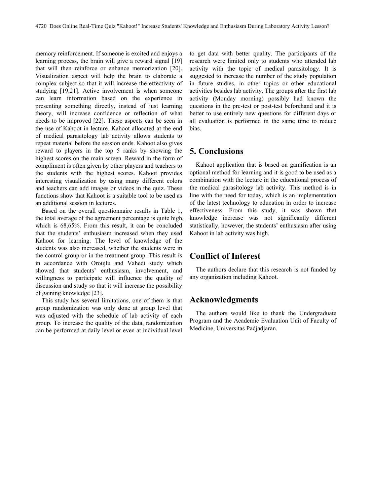memory reinforcement. If someone is excited and enjoys a learning process, the brain will give a reward signal [19] that will then reinforce or enhance memorization [20]. Visualization aspect will help the brain to elaborate a complex subject so that it will increase the effectivity of studying [19,21]. Active involvement is when someone can learn information based on the experience in presenting something directly, instead of just learning theory, will increase confidence or reflection of what needs to be improved [22]. These aspects can be seen in the use of Kahoot in lecture. Kahoot allocated at the end of medical parasitology lab activity allows students to repeat material before the session ends. Kahoot also gives reward to players in the top 5 ranks by showing the highest scores on the main screen. Reward in the form of compliment is often given by other players and teachers to the students with the highest scores. Kahoot provides interesting visualization by using many different colors and teachers can add images or videos in the quiz. These functions show that Kahoot is a suitable tool to be used as an additional session in lectures.

Based on the overall questionnaire results in Table 1, the total average of the agreement percentage is quite high, which is 68,65%. From this result, it can be concluded that the students' enthusiasm increased when they used Kahoot for learning. The level of knowledge of the students was also increased, whether the students were in the control group or in the treatment group. This result is in accordance with Oroujlu and Vahedi study which showed that students' enthusiasm, involvement, and willingness to participate will influence the quality of discussion and study so that it will increase the possibility of gaining knowledge [23].

This study has several limitations, one of them is that group randomization was only done at group level that was adjusted with the schedule of lab activity of each group. To increase the quality of the data, randomization can be performed at daily level or even at individual level

to get data with better quality. The participants of the research were limited only to students who attended lab activity with the topic of medical parasitology. It is suggested to increase the number of the study population in future studies, in other topics or other educational activities besides lab activity. The groups after the first lab activity (Monday morning) possibly had known the questions in the pre-test or post-test beforehand and it is better to use entirely new questions for different days or all evaluation is performed in the same time to reduce bias.

## **5. Conclusions**

Kahoot application that is based on gamification is an optional method for learning and it is good to be used as a combination with the lecture in the educational process of the medical parasitology lab activity. This method is in line with the need for today, which is an implementation of the latest technology to education in order to increase effectiveness. From this study, it was shown that knowledge increase was not significantly different statistically, however, the students' enthusiasm after using Kahoot in lab activity was high.

## **Conflict of Interest**

The authors declare that this research is not funded by any organization including Kahoot.

## **Acknowledgments**

The authors would like to thank the Undergraduate Program and the Academic Evaluation Unit of Faculty of Medicine, Universitas Padjadjaran.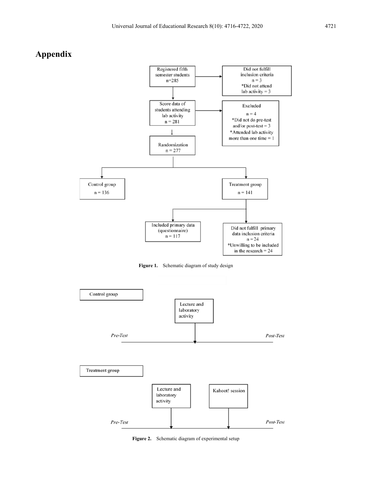## **Appendix**







**Figure 2.** Schematic diagram of experimental setup